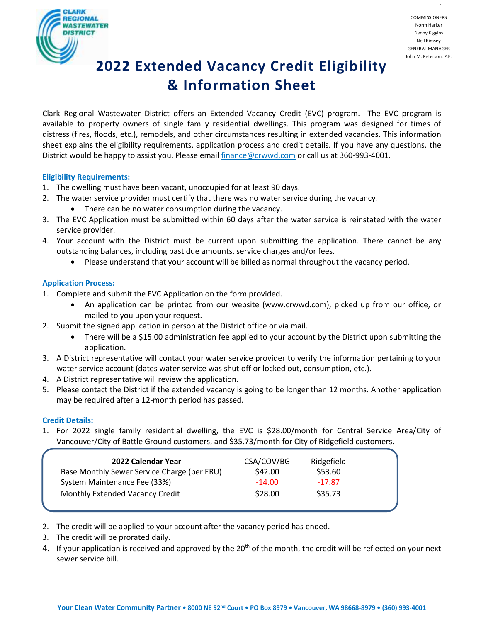

.

# **2022 Extended Vacancy Credit Eligibility & Information Sheet**

Clark Regional Wastewater District offers an Extended Vacancy Credit (EVC) program. The EVC program is available to property owners of single family residential dwellings. This program was designed for times of distress (fires, floods, etc.), remodels, and other circumstances resulting in extended vacancies. This information sheet explains the eligibility requirements, application process and credit details. If you have any questions, the District would be happy to assist you. Please emai[l finance@crwwd.com](mailto:finance@crwwd.com) or call us at 360-993-4001.

### **Eligibility Requirements:**

- 1. The dwelling must have been vacant, unoccupied for at least 90 days.
- 2. The water service provider must certify that there was no water service during the vacancy.
	- There can be no water consumption during the vacancy.
- 3. The EVC Application must be submitted within 60 days after the water service is reinstated with the water service provider.
- 4. Your account with the District must be current upon submitting the application. There cannot be any outstanding balances, including past due amounts, service charges and/or fees.
	- Please understand that your account will be billed as normal throughout the vacancy period.

### **Application Process:**

- 1. Complete and submit the EVC Application on the form provided.
	- An application can be printed from our website (www.crwwd.com), picked up from our office, or mailed to you upon your request.
- 2. Submit the signed application in person at the District office or via mail.
	- There will be a \$15.00 administration fee applied to your account by the District upon submitting the application.
- 3. A District representative will contact your water service provider to verify the information pertaining to your water service account (dates water service was shut off or locked out, consumption, etc.).
- 4. A District representative will review the application.
- 5. Please contact the District if the extended vacancy is going to be longer than 12 months. Another application may be required after a 12-month period has passed.

### **Credit Details:**

1. For 2022 single family residential dwelling, the EVC is \$28.00/month for Central Service Area/City of Vancouver/City of Battle Ground customers, and \$35.73/month for City of Ridgefield customers.

| 2022 Calendar Year                          | CSA/COV/BG | Ridgefield |
|---------------------------------------------|------------|------------|
| Base Monthly Sewer Service Charge (per ERU) | \$42.00    | \$53.60    |
| System Maintenance Fee (33%)                | $-14.00$   | $-17.87$   |
| Monthly Extended Vacancy Credit             | \$28.00    | \$35.73    |

- 2. The credit will be applied to your account after the vacancy period has ended.
- 3. The credit will be prorated daily.
- 4. If your application is received and approved by the 20<sup>th</sup> of the month, the credit will be reflected on your next sewer service bill.